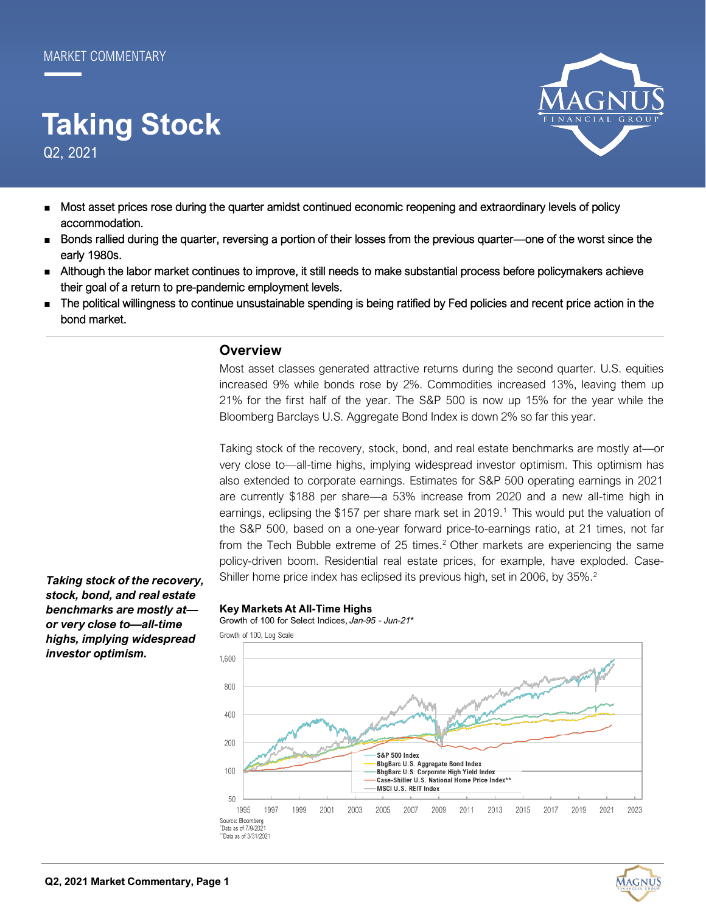# Q2, 2021 **Taking Stock**



- Most asset prices rose during the quarter amidst continued economic reopening and extraordinary levels of policy accommodation.
- Bonds rallied during the quarter, reversing a portion of their losses from the previous quarter—one of the worst since the early 1980s.
- Although the labor market continues to improve, it still needs to make substantial process before policymakers achieve their goal of a return to pre-pandemic employment levels.
- The political willingness to continue unsustainable spending is being ratified by Fed policies and recent price action in the bond market.

## **Overview**

Most asset classes generated attractive returns during the second quarter. U.S. equities increased 9% while bonds rose by 2%. Commodities increased 13%, leaving them up 21% for the first half of the year. The S&P 500 is now up 15% for the year while the Bloomberg Barclays U.S. Aggregate Bond Index is down 2% so far this year.

Taking stock of the recovery, stock, bond, and real estate benchmarks are mostly at—or very close to—all-time highs, implying widespread investor optimism. This optimism has also extended to corporate earnings. Estimates for S&P 500 operating earnings in 2021 are currently \$188 per share—a 53% increase from 2020 and a new all-time high in earnings, eclipsing the \$157 per share mark set in 2019.<sup>1</sup> This would put the valuation of the S&P 500, based on a one-year forward price-to-earnings ratio, at 21 times, not far from the Tech Bubble extreme of 25 times.<sup>2</sup> Other markets are experiencing the same policy-driven boom. Residential real estate prices, for example, have exploded. Case-Shiller home price index has eclipsed its previous high, set in 2006, by 35%.<sup>2</sup>

*Taking stock of the recovery, stock, bond, and real estate benchmarks are mostly at or very close to—all-time highs, implying widespread investor optimism.* 

#### **Key Markets At All-Time Highs**

Growth of 100 for Select Indices, Jan-95 - Jun-21\*



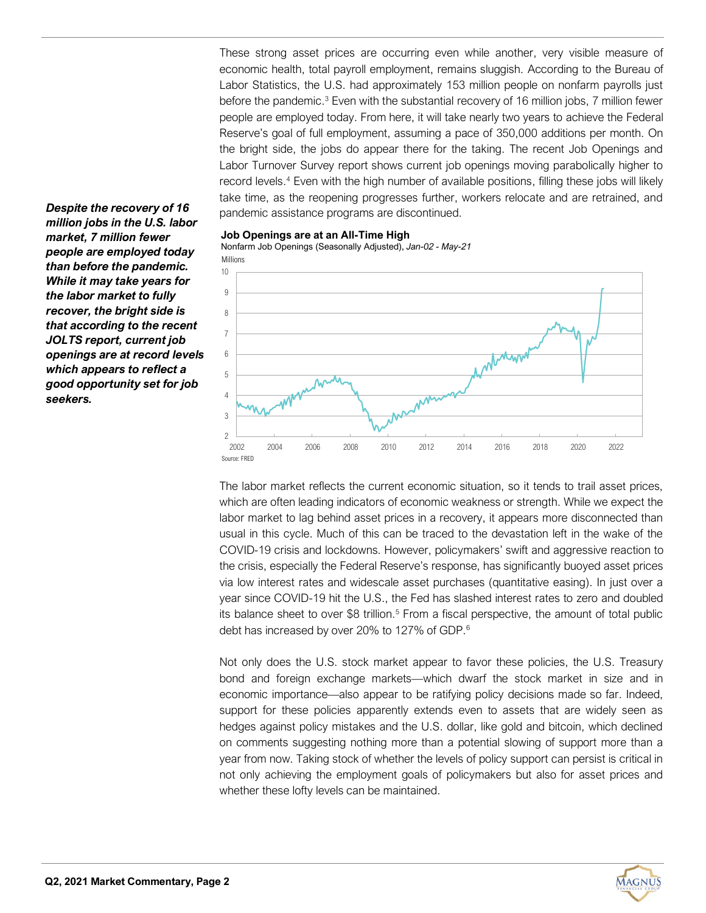These strong asset prices are occurring even while another, very visible measure of economic health, total payroll employment, remains sluggish. According to the Bureau of Labor Statistics, the U.S. had approximately 153 million people on nonfarm payrolls just before the pandemic.<sup>3</sup> Even with the substantial recovery of 16 million jobs, 7 million fewer people are employed today. From here, it will take nearly two years to achieve the Federal Reserve's goal of full employment, assuming a pace of 350,000 additions per month. On the bright side, the jobs do appear there for the taking. The recent Job Openings and Labor Turnover Survey report shows current job openings moving parabolically higher to record levels.<sup>4</sup> Even with the high number of available positions, filling these jobs will likely take time, as the reopening progresses further, workers relocate and are retrained, and pandemic assistance programs are discontinued.

*Despite the recovery of 16 million jobs in the U.S. labor market, 7 million fewer people are employed today than before the pandemic. While it may take years for the labor market to fully recover, the bright side is that according to the recent JOLTS report, current job openings are at record levels which appears to reflect a good opportunity set for job seekers.*



Nonfarm Job Openings (Seasonally Adjusted), *Jan-02 - May-21*



The labor market reflects the current economic situation, so it tends to trail asset prices, which are often leading indicators of economic weakness or strength. While we expect the labor market to lag behind asset prices in a recovery, it appears more disconnected than usual in this cycle. Much of this can be traced to the devastation left in the wake of the COVID-19 crisis and lockdowns. However, policymakers' swift and aggressive reaction to the crisis, especially the Federal Reserve's response, has significantly buoyed asset prices via low interest rates and widescale asset purchases (quantitative easing). In just over a year since COVID-19 hit the U.S., the Fed has slashed interest rates to zero and doubled its balance sheet to over \$8 trillion.<sup>5</sup> From a fiscal perspective, the amount of total public debt has increased by over 20% to 127% of GDP.<sup>6</sup>

Not only does the U.S. stock market appear to favor these policies, the U.S. Treasury bond and foreign exchange markets—which dwarf the stock market in size and in economic importance—also appear to be ratifying policy decisions made so far. Indeed, support for these policies apparently extends even to assets that are widely seen as hedges against policy mistakes and the U.S. dollar, like gold and bitcoin, which declined on comments suggesting nothing more than a potential slowing of support more than a year from now. Taking stock of whether the levels of policy support can persist is critical in not only achieving the employment goals of policymakers but also for asset prices and whether these lofty levels can be maintained.

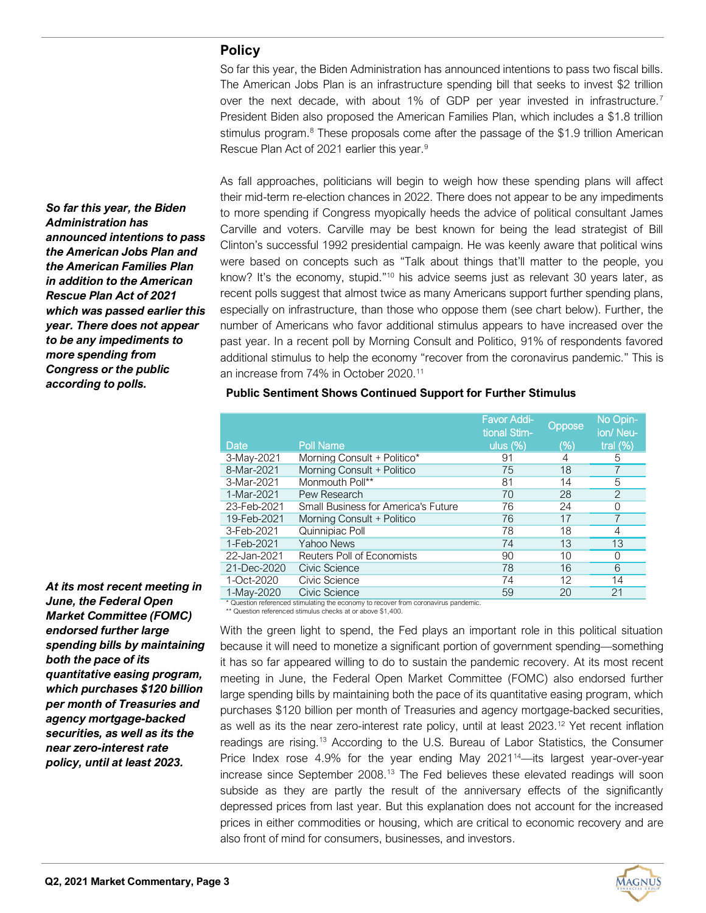# **Policy**

So far this year, the Biden Administration has announced intentions to pass two fiscal bills. The American Jobs Plan is an infrastructure spending bill that seeks to invest \$2 trillion over the next decade, with about 1% of GDP per year invested in infrastructure.<sup>7</sup> President Biden also proposed the American Families Plan, which includes a \$1.8 trillion stimulus program.<sup>8</sup> These proposals come after the passage of the \$1.9 trillion American Rescue Plan Act of 2021 earlier this year.<sup>9</sup>

As fall approaches, politicians will begin to weigh how these spending plans will affect their mid-term re-election chances in 2022. There does not appear to be any impediments to more spending if Congress myopically heeds the advice of political consultant James Carville and voters. Carville may be best known for being the lead strategist of Bill Clinton's successful 1992 presidential campaign. He was keenly aware that political wins were based on concepts such as "Talk about things that'll matter to the people, you know? It's the economy, stupid."<sup>10</sup> his advice seems just as relevant 30 years later, as recent polls suggest that almost twice as many Americans support further spending plans, especially on infrastructure, than those who oppose them (see chart below). Further, the number of Americans who favor additional stimulus appears to have increased over the past year. In a recent poll by Morning Consult and Politico, 91% of respondents favored additional stimulus to help the economy "recover from the coronavirus pandemic." This is an increase from 74% in October 2020.<sup>11</sup>

|                                                                                                                                                                                         |                                            | <b>Favor Addi-</b><br>tional Stim- | Oppose | No Opin-<br>ion/Neu- |
|-----------------------------------------------------------------------------------------------------------------------------------------------------------------------------------------|--------------------------------------------|------------------------------------|--------|----------------------|
| Date                                                                                                                                                                                    | <b>Poll Name</b>                           | ulus $(\%)$                        | (%)    | tral $(\%)$          |
| 3-May-2021                                                                                                                                                                              | Morning Consult + Politico*                | 91                                 | 4      | 5                    |
| 8-Mar-2021                                                                                                                                                                              | Morning Consult + Politico                 | 75                                 | 18     |                      |
| 3-Mar-2021                                                                                                                                                                              | Monmouth Poll**                            | 81                                 | 14     | 5                    |
| 1-Mar-2021                                                                                                                                                                              | Pew Research                               | 70                                 | 28     | $\overline{2}$       |
| 23-Feb-2021                                                                                                                                                                             | <b>Small Business for America's Future</b> | 76                                 | 24     | Ω                    |
| 19-Feb-2021                                                                                                                                                                             | Morning Consult + Politico                 | 76                                 | 17     |                      |
| 3-Feb-2021                                                                                                                                                                              | Quinnipiac Poll                            | 78                                 | 18     | 4                    |
| 1-Feb-2021                                                                                                                                                                              | Yahoo News                                 | 74                                 | 13     | 13                   |
| 22-Jan-2021                                                                                                                                                                             | Reuters Poll of Economists                 | 90                                 | 10     | Ω                    |
| 21-Dec-2020                                                                                                                                                                             | Civic Science                              | 78                                 | 16     | 6                    |
| 1-Oct-2020                                                                                                                                                                              | Civic Science                              | 74                                 | 12     | 14                   |
| 1-May-2020                                                                                                                                                                              | Civic Science                              | 59                                 | 20     | 21                   |
| * Question referenced stimulating the economy to recover from coronavirus pandemic.<br>$**$ $\bigcap_{i=1}^{n}$ . The set of second set of second second second set $\bigcap_{i=1}^{n}$ |                                            |                                    |        |                      |

## **Public Sentiment Shows Continued Support for Further Stimulus**

Question referenced stimulus checks at or above \$1,400.

With the green light to spend, the Fed plays an important role in this political situation because it will need to monetize a significant portion of government spending—something it has so far appeared willing to do to sustain the pandemic recovery. At its most recent meeting in June, the Federal Open Market Committee (FOMC) also endorsed further large spending bills by maintaining both the pace of its quantitative easing program, which purchases \$120 billion per month of Treasuries and agency mortgage-backed securities, as well as its the near zero-interest rate policy, until at least 2023.<sup>12</sup> Yet recent inflation readings are rising.<sup>13</sup> According to the U.S. Bureau of Labor Statistics, the Consumer Price Index rose 4.9% for the year ending May 2021<sup>14</sup>—its largest year-over-year increase since September 2008.<sup>13</sup> The Fed believes these elevated readings will soon subside as they are partly the result of the anniversary effects of the significantly depressed prices from last year. But this explanation does not account for the increased prices in either commodities or housing, which are critical to economic recovery and are also front of mind for consumers, businesses, and investors.

*So far this year, the Biden Administration has announced intentions to pass the American Jobs Plan and the American Families Plan in addition to the American Rescue Plan Act of 2021 which was passed earlier this year. There does not appear to be any impediments to more spending from Congress or the public according to polls.*

*At its most recent meeting in June, the Federal Open Market Committee (FOMC) endorsed further large spending bills by maintaining both the pace of its quantitative easing program, which purchases \$120 billion per month of Treasuries and agency mortgage-backed securities, as well as its the near zero-interest rate policy, until at least 2023.*

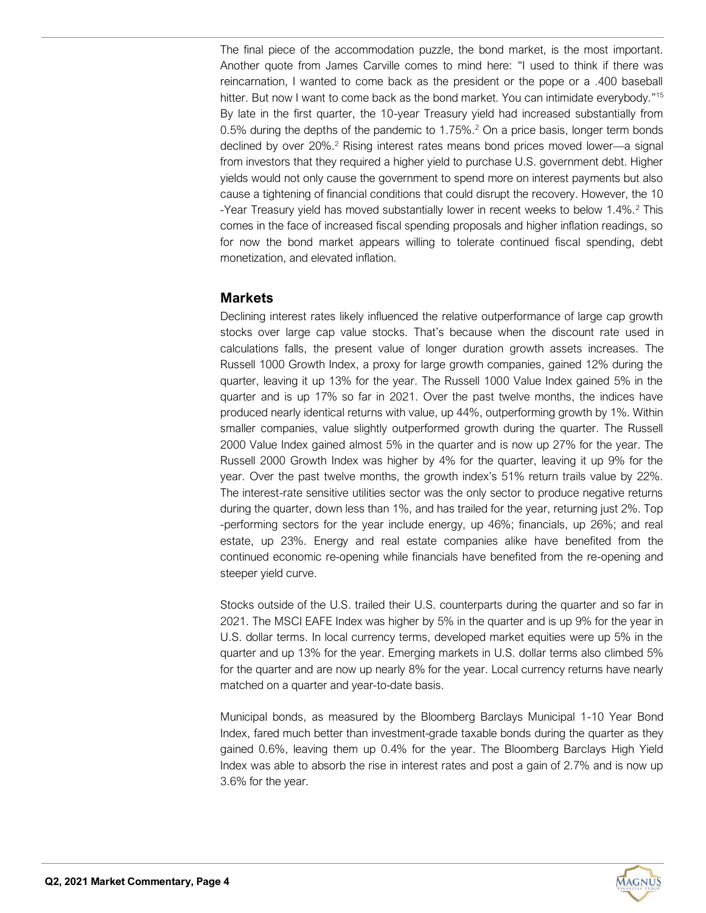The final piece of the accommodation puzzle, the bond market, is the most important. Another quote from James Carville comes to mind here: "I used to think if there was reincarnation, I wanted to come back as the president or the pope or a .400 baseball hitter. But now I want to come back as the bond market. You can intimidate everybody."<sup>15</sup> By late in the first quarter, the 10-year Treasury yield had increased substantially from 0.5% during the depths of the pandemic to  $1.75\%$ .<sup>2</sup> On a price basis, longer term bonds declined by over 20%.<sup>2</sup> Rising interest rates means bond prices moved lower—a signal from investors that they required a higher yield to purchase U.S. government debt. Higher yields would not only cause the government to spend more on interest payments but also cause a tightening of financial conditions that could disrupt the recovery. However, the 10 -Year Treasury yield has moved substantially lower in recent weeks to below 1.4%.<sup>2</sup> This comes in the face of increased fiscal spending proposals and higher inflation readings, so for now the bond market appears willing to tolerate continued fiscal spending, debt monetization, and elevated inflation.

# **Markets**

Declining interest rates likely influenced the relative outperformance of large cap growth stocks over large cap value stocks. That's because when the discount rate used in calculations falls, the present value of longer duration growth assets increases. The Russell 1000 Growth Index, a proxy for large growth companies, gained 12% during the quarter, leaving it up 13% for the year. The Russell 1000 Value Index gained 5% in the quarter and is up 17% so far in 2021. Over the past twelve months, the indices have produced nearly identical returns with value, up 44%, outperforming growth by 1%. Within smaller companies, value slightly outperformed growth during the quarter. The Russell 2000 Value Index gained almost 5% in the quarter and is now up 27% for the year. The Russell 2000 Growth Index was higher by 4% for the quarter, leaving it up 9% for the year. Over the past twelve months, the growth index's 51% return trails value by 22%. The interest-rate sensitive utilities sector was the only sector to produce negative returns during the quarter, down less than 1%, and has trailed for the year, returning just 2%. Top -performing sectors for the year include energy, up 46%; financials, up 26%; and real estate, up 23%. Energy and real estate companies alike have benefited from the continued economic re-opening while financials have benefited from the re-opening and steeper yield curve.

Stocks outside of the U.S. trailed their U.S. counterparts during the quarter and so far in 2021. The MSCI EAFE Index was higher by 5% in the quarter and is up 9% for the year in U.S. dollar terms. In local currency terms, developed market equities were up 5% in the quarter and up 13% for the year. Emerging markets in U.S. dollar terms also climbed 5% for the quarter and are now up nearly 8% for the year. Local currency returns have nearly matched on a quarter and year-to-date basis.

Municipal bonds, as measured by the Bloomberg Barclays Municipal 1-10 Year Bond Index, fared much better than investment-grade taxable bonds during the quarter as they gained 0.6%, leaving them up 0.4% for the year. The Bloomberg Barclays High Yield Index was able to absorb the rise in interest rates and post a gain of 2.7% and is now up 3.6% for the year.

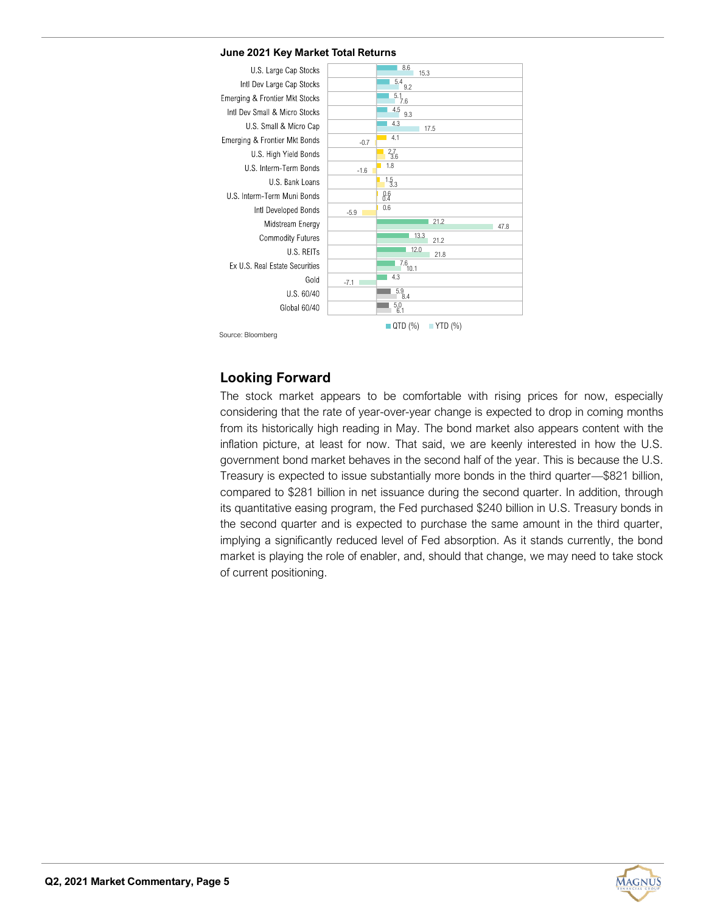#### **June 2021 Key Market Total Returns**



Source: Bloomberg

# **Looking Forward**

The stock market appears to be comfortable with rising prices for now, especially considering that the rate of year-over-year change is expected to drop in coming months from its historically high reading in May. The bond market also appears content with the inflation picture, at least for now. That said, we are keenly interested in how the U.S. government bond market behaves in the second half of the year. This is because the U.S. Treasury is expected to issue substantially more bonds in the third quarter—\$821 billion, compared to \$281 billion in net issuance during the second quarter. In addition, through its quantitative easing program, the Fed purchased \$240 billion in U.S. Treasury bonds in the second quarter and is expected to purchase the same amount in the third quarter, implying a significantly reduced level of Fed absorption. As it stands currently, the bond market is playing the role of enabler, and, should that change, we may need to take stock of current positioning.

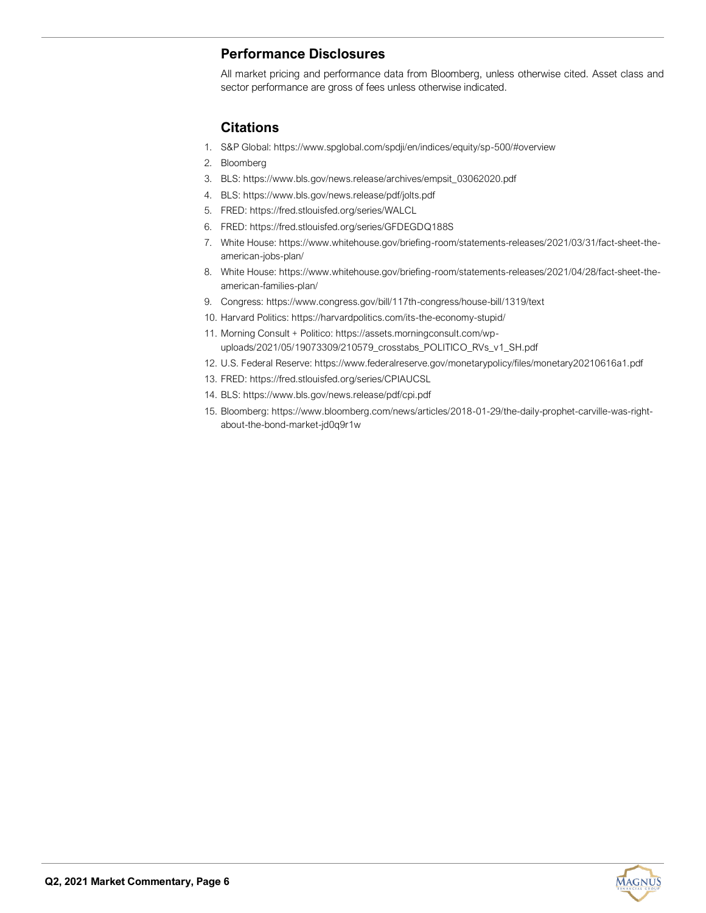# **Performance Disclosures**

All market pricing and performance data from Bloomberg, unless otherwise cited. Asset class and sector performance are gross of fees unless otherwise indicated.

# **Citations**

- 1. S&P Global: https://www.spglobal.com/spdji/en/indices/equity/sp-500/#overview
- 2. Bloomberg
- 3. BLS: https://www.bls.gov/news.release/archives/empsit\_03062020.pdf
- 4. BLS: https://www.bls.gov/news.release/pdf/jolts.pdf
- 5. FRED: https://fred.stlouisfed.org/series/WALCL
- 6. FRED: https://fred.stlouisfed.org/series/GFDEGDQ188S
- 7. White House: https://www.whitehouse.gov/briefing-room/statements-releases/2021/03/31/fact-sheet-theamerican-jobs-plan/
- 8. White House: https://www.whitehouse.gov/briefing-room/statements-releases/2021/04/28/fact-sheet-theamerican-families-plan/
- 9. Congress: https://www.congress.gov/bill/117th-congress/house-bill/1319/text
- 10. Harvard Politics: https://harvardpolitics.com/its-the-economy-stupid/
- 11. Morning Consult + Politico: https://assets.morningconsult.com/wpuploads/2021/05/19073309/210579\_crosstabs\_POLITICO\_RVs\_v1\_SH.pdf
- 12. U.S. Federal Reserve: https://www.federalreserve.gov/monetarypolicy/files/monetary20210616a1.pdf
- 13. FRED: https://fred.stlouisfed.org/series/CPIAUCSL
- 14. BLS: https://www.bls.gov/news.release/pdf/cpi.pdf
- 15. Bloomberg: https://www.bloomberg.com/news/articles/2018-01-29/the-daily-prophet-carville-was-rightabout-the-bond-market-jd0q9r1w